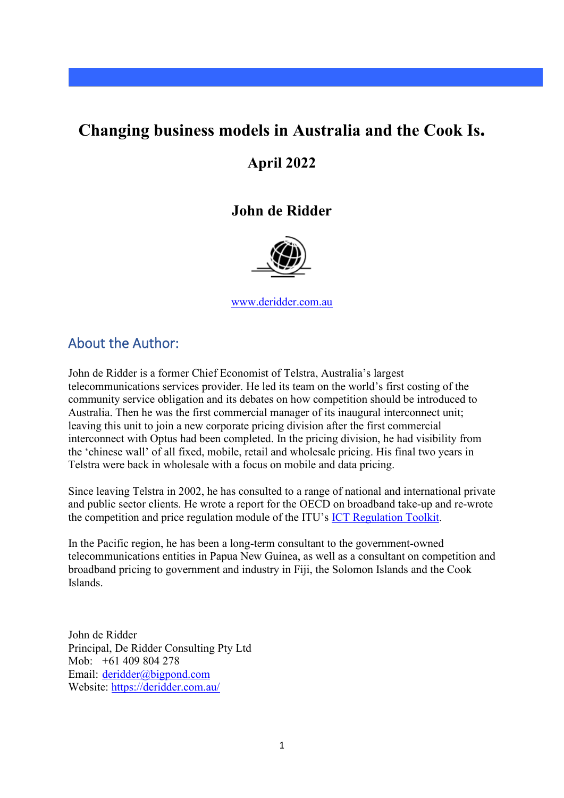# **Changing business models in Australia and the Cook Is.**

## **April 2022**

## **John de Ridder**



[www.deridder.com.au](http://www.deridder.com.au/)

### About the Author:

John de Ridder is a former Chief Economist of Telstra, Australia's largest telecommunications services provider. He led its team on the world's first costing of the community service obligation and its debates on how competition should be introduced to Australia. Then he was the first commercial manager of its inaugural interconnect unit; leaving this unit to join a new corporate pricing division after the first commercial interconnect with Optus had been completed. In the pricing division, he had visibility from the 'chinese wall' of all fixed, mobile, retail and wholesale pricing. His final two years in Telstra were back in wholesale with a focus on mobile and data pricing.

Since leaving Telstra in 2002, he has consulted to a range of national and international private and public sector clients. He wrote a report for the OECD on broadband take-up and re-wrote the competition and price regulation module of the ITU's [ICT Regulation Toolkit.](http://www.ictregulationtoolkit.org/authors)

In the Pacific region, he has been a long-term consultant to the government-owned telecommunications entities in Papua New Guinea, as well as a consultant on competition and broadband pricing to government and industry in Fiji, the Solomon Islands and the Cook Islands.

John de Ridder Principal, De Ridder Consulting Pty Ltd Mob: +61 409 804 278 Email: [deridder@bigpond.com](mailto:deridder@bigpond.com)  Website:<https://deridder.com.au/>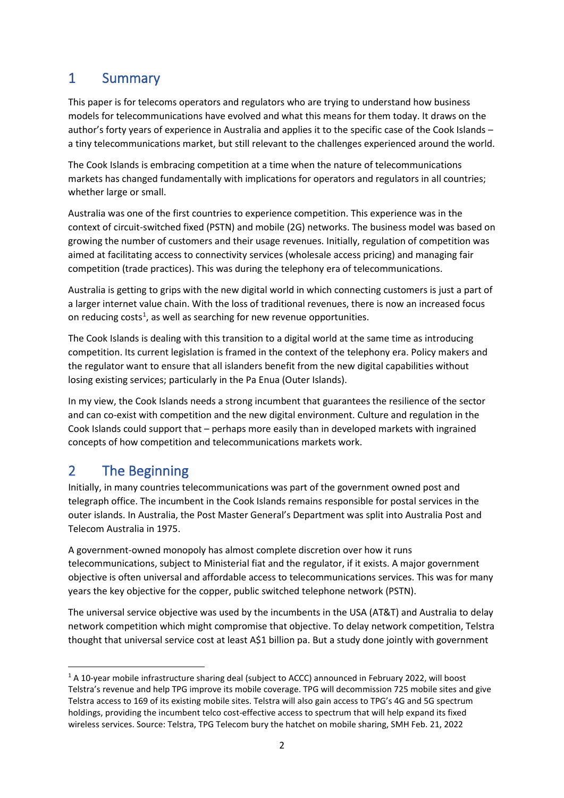# 1 Summary

This paper is for telecoms operators and regulators who are trying to understand how business models for telecommunications have evolved and what this means for them today. It draws on the author's forty years of experience in Australia and applies it to the specific case of the Cook Islands – a tiny telecommunications market, but still relevant to the challenges experienced around the world.

The Cook Islands is embracing competition at a time when the nature of telecommunications markets has changed fundamentally with implications for operators and regulators in all countries; whether large or small.

Australia was one of the first countries to experience competition. This experience was in the context of circuit-switched fixed (PSTN) and mobile (2G) networks. The business model was based on growing the number of customers and their usage revenues. Initially, regulation of competition was aimed at facilitating access to connectivity services (wholesale access pricing) and managing fair competition (trade practices). This was during the telephony era of telecommunications.

Australia is getting to grips with the new digital world in which connecting customers is just a part of a larger internet value chain. With the loss of traditional revenues, there is now an increased focus on reducing costs<sup>[1](#page-1-0)</sup>, as well as searching for new revenue opportunities.

The Cook Islands is dealing with this transition to a digital world at the same time as introducing competition. Its current legislation is framed in the context of the telephony era. Policy makers and the regulator want to ensure that all islanders benefit from the new digital capabilities without losing existing services; particularly in the Pa Enua (Outer Islands).

In my view, the Cook Islands needs a strong incumbent that guarantees the resilience of the sector and can co-exist with competition and the new digital environment. Culture and regulation in the Cook Islands could support that – perhaps more easily than in developed markets with ingrained concepts of how competition and telecommunications markets work.

# 2 The Beginning

Initially, in many countries telecommunications was part of the government owned post and telegraph office. The incumbent in the Cook Islands remains responsible for postal services in the outer islands. In Australia, the Post Master General's Department was split into Australia Post and Telecom Australia in 1975.

A government-owned monopoly has almost complete discretion over how it runs telecommunications, subject to Ministerial fiat and the regulator, if it exists. A major government objective is often universal and affordable access to telecommunications services. This was for many years the key objective for the copper, public switched telephone network (PSTN).

The universal service objective was used by the incumbents in the USA (AT&T) and Australia to delay network competition which might compromise that objective. To delay network competition, Telstra thought that universal service cost at least A\$1 billion pa. But a study done jointly with government

<span id="page-1-0"></span><sup>&</sup>lt;sup>1</sup> A 10-year mobile infrastructure sharing deal (subject to ACCC) announced in February 2022, will boost Telstra's revenue and help TPG improve its mobile coverage. TPG will decommission 725 mobile sites and give Telstra access to 169 of its existing mobile sites. Telstra will also gain access to TPG's 4G and 5G spectrum holdings, providing the incumbent telco cost-effective access to spectrum that will help expand its fixed wireless services. Source: Telstra, TPG Telecom bury the hatchet on mobile sharing, SMH Feb. 21, 2022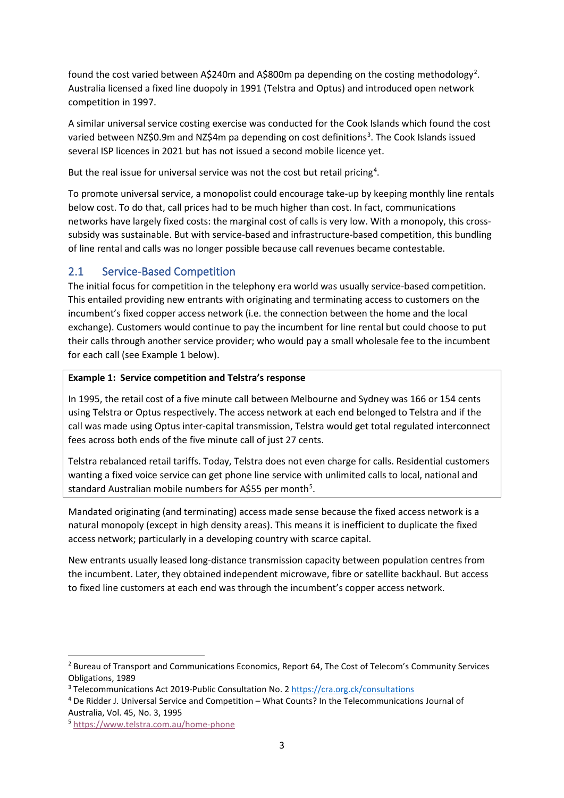found the cost varied between A\$[2](#page-2-0)40m and A\$800m pa depending on the costing methodology<sup>2</sup>. Australia licensed a fixed line duopoly in 1991 (Telstra and Optus) and introduced open network competition in 1997.

A similar universal service costing exercise was conducted for the Cook Islands which found the cost varied between NZ\$0.9m and NZ\$4m pa depending on cost definitions<sup>[3](#page-2-1)</sup>. The Cook Islands issued several ISP licences in 2021 but has not issued a second mobile licence yet.

But the real issue for universal service was not the cost but retail pricing<sup>[4](#page-2-2)</sup>.

To promote universal service, a monopolist could encourage take-up by keeping monthly line rentals below cost. To do that, call prices had to be much higher than cost. In fact, communications networks have largely fixed costs: the marginal cost of calls is very low. With a monopoly, this crosssubsidy was sustainable. But with service-based and infrastructure-based competition, this bundling of line rental and calls was no longer possible because call revenues became contestable.

### 2.1 Service-Based Competition

The initial focus for competition in the telephony era world was usually service-based competition. This entailed providing new entrants with originating and terminating access to customers on the incumbent's fixed copper access network (i.e. the connection between the home and the local exchange). Customers would continue to pay the incumbent for line rental but could choose to put their calls through another service provider; who would pay a small wholesale fee to the incumbent for each call (see Example 1 below).

### **Example 1: Service competition and Telstra's response**

In 1995, the retail cost of a five minute call between Melbourne and Sydney was 166 or 154 cents using Telstra or Optus respectively. The access network at each end belonged to Telstra and if the call was made using Optus inter-capital transmission, Telstra would get total regulated interconnect fees across both ends of the five minute call of just 27 cents.

Telstra rebalanced retail tariffs. Today, Telstra does not even charge for calls. Residential customers wanting a fixed voice service can get phone line service with unlimited calls to local, national and standard Australian mobile numbers for A\$[5](#page-2-3)5 per month<sup>5</sup>.

Mandated originating (and terminating) access made sense because the fixed access network is a natural monopoly (except in high density areas). This means it is inefficient to duplicate the fixed access network; particularly in a developing country with scarce capital.

New entrants usually leased long-distance transmission capacity between population centres from the incumbent. Later, they obtained independent microwave, fibre or satellite backhaul. But access to fixed line customers at each end was through the incumbent's copper access network.

<span id="page-2-0"></span><sup>&</sup>lt;sup>2</sup> Bureau of Transport and Communications Economics, Report 64, The Cost of Telecom's Community Services Obligations, 1989

<span id="page-2-2"></span><span id="page-2-1"></span><sup>&</sup>lt;sup>3</sup> Telecommunications Act 2019-Public Consultation No. 2 <https://cra.org.ck/consultations>4 De Ridder J. Universal Service and Competition – What Counts? In the Telecommunications Journal of Australia, Vol. 45, No. 3, 1995

<span id="page-2-3"></span><sup>5</sup> <https://www.telstra.com.au/home-phone>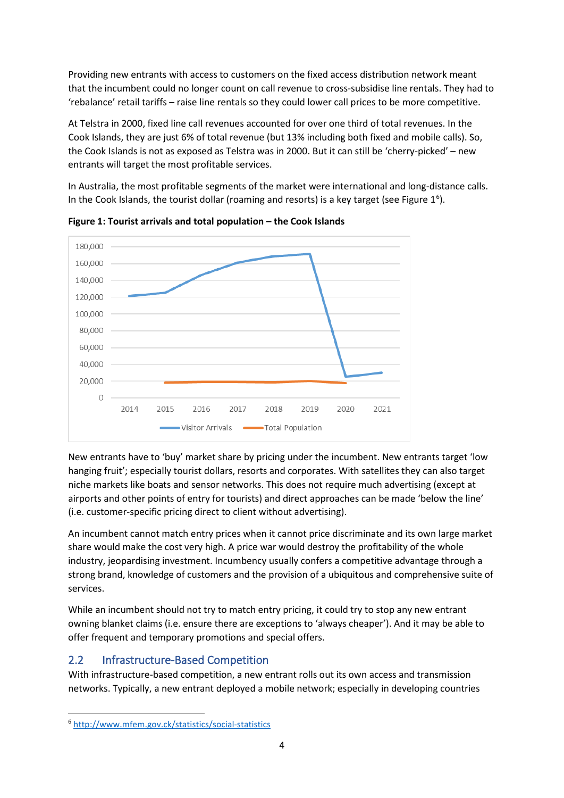Providing new entrants with access to customers on the fixed access distribution network meant that the incumbent could no longer count on call revenue to cross-subsidise line rentals. They had to 'rebalance' retail tariffs – raise line rentals so they could lower call prices to be more competitive.

At Telstra in 2000, fixed line call revenues accounted for over one third of total revenues. In the Cook Islands, they are just 6% of total revenue (but 13% including both fixed and mobile calls). So, the Cook Islands is not as exposed as Telstra was in 2000. But it can still be 'cherry-picked' – new entrants will target the most profitable services.

In Australia, the most profitable segments of the market were international and long-distance calls. In the Cook Islands, the tourist dollar (roaming and resorts) is a key target (see Figure  $1<sup>6</sup>$  $1<sup>6</sup>$  $1<sup>6</sup>$ ).





New entrants have to 'buy' market share by pricing under the incumbent. New entrants target 'low hanging fruit'; especially tourist dollars, resorts and corporates. With satellites they can also target niche markets like boats and sensor networks. This does not require much advertising (except at airports and other points of entry for tourists) and direct approaches can be made 'below the line' (i.e. customer-specific pricing direct to client without advertising).

An incumbent cannot match entry prices when it cannot price discriminate and its own large market share would make the cost very high. A price war would destroy the profitability of the whole industry, jeopardising investment. Incumbency usually confers a competitive advantage through a strong brand, knowledge of customers and the provision of a ubiquitous and comprehensive suite of services.

While an incumbent should not try to match entry pricing, it could try to stop any new entrant owning blanket claims (i.e. ensure there are exceptions to 'always cheaper'). And it may be able to offer frequent and temporary promotions and special offers.

### 2.2 Infrastructure-Based Competition

With infrastructure-based competition, a new entrant rolls out its own access and transmission networks. Typically, a new entrant deployed a mobile network; especially in developing countries

<span id="page-3-0"></span><sup>6</sup> <http://www.mfem.gov.ck/statistics/social-statistics>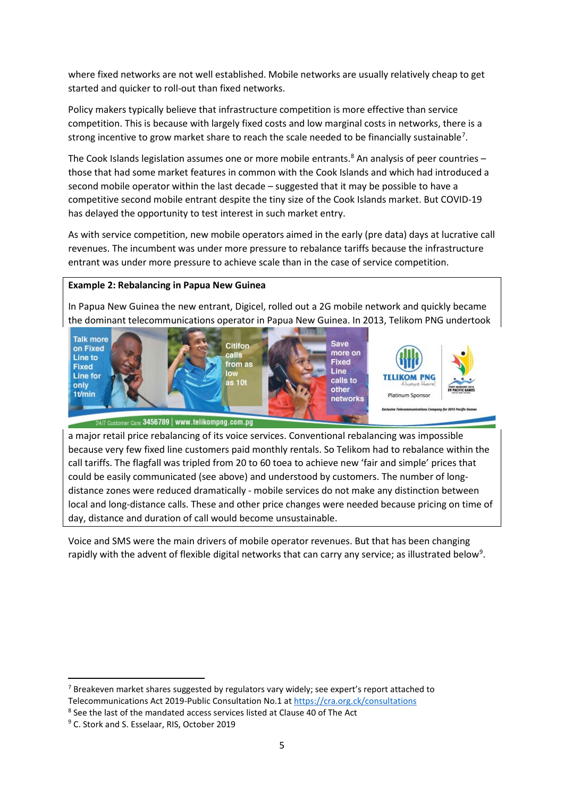where fixed networks are not well established. Mobile networks are usually relatively cheap to get started and quicker to roll-out than fixed networks.

Policy makers typically believe that infrastructure competition is more effective than service competition. This is because with largely fixed costs and low marginal costs in networks, there is a strong incentive to grow market share to reach the scale needed to be financially sustainable<sup>[7](#page-4-0)</sup>.

The Cook Islands legislation assumes one or more mobile entrants.<sup>[8](#page-4-1)</sup> An analysis of peer countries those that had some market features in common with the Cook Islands and which had introduced a second mobile operator within the last decade – suggested that it may be possible to have a competitive second mobile entrant despite the tiny size of the Cook Islands market. But COVID-19 has delayed the opportunity to test interest in such market entry.

As with service competition, new mobile operators aimed in the early (pre data) days at lucrative call revenues. The incumbent was under more pressure to rebalance tariffs because the infrastructure entrant was under more pressure to achieve scale than in the case of service competition.

#### **Example 2: Rebalancing in Papua New Guinea**

In Papua New Guinea the new entrant, Digicel, rolled out a 2G mobile network and quickly became the dominant telecommunications operator in Papua New Guinea. In 2013, Telikom PNG undertook



24/7 Customer Care: 3456789 | www.telikompng.com.pg

a major retail price rebalancing of its voice services. Conventional rebalancing was impossible because very few fixed line customers paid monthly rentals. So Telikom had to rebalance within the call tariffs. The flagfall was tripled from 20 to 60 toea to achieve new 'fair and simple' prices that could be easily communicated (see above) and understood by customers. The number of longdistance zones were reduced dramatically - mobile services do not make any distinction between local and long-distance calls. These and other price changes were needed because pricing on time of day, distance and duration of call would become unsustainable.

Voice and SMS were the main drivers of mobile operator revenues. But that has been changing rapidly with the advent of flexible digital networks that can carry any service; as illustrated below<sup>9</sup>.

<span id="page-4-0"></span> $7$  Breakeven market shares suggested by regulators vary widely; see expert's report attached to Telecommunications Act 2019-Public Consultation No.1 a[t https://cra.org.ck/consultations](https://cra.org.ck/consultations) 8 See the last of the mandated access services listed at Clause 40 of The Act

<span id="page-4-1"></span>

<span id="page-4-2"></span><sup>9</sup> C. Stork and S. Esselaar, RIS, October 2019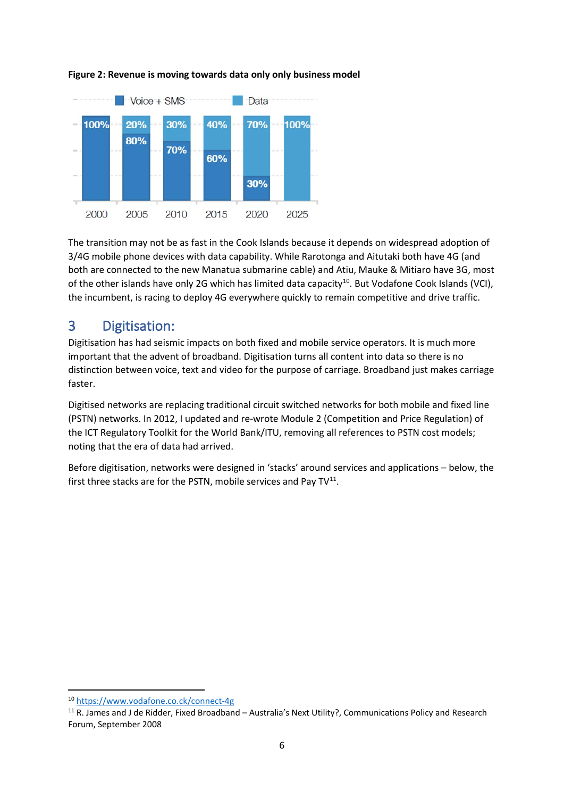

#### **Figure 2: Revenue is moving towards data only only business model**

The transition may not be as fast in the Cook Islands because it depends on widespread adoption of 3/4G mobile phone devices with data capability. While Rarotonga and Aitutaki both have 4G (and both are connected to the new Manatua submarine cable) and Atiu, Mauke & Mitiaro have 3G, most of the other islands have only 2G which has limited data capacity<sup>[10](#page-5-0)</sup>. But Vodafone Cook Islands (VCI), the incumbent, is racing to deploy 4G everywhere quickly to remain competitive and drive traffic.

## 3 Digitisation:

Digitisation has had seismic impacts on both fixed and mobile service operators. It is much more important that the advent of broadband. Digitisation turns all content into data so there is no distinction between voice, text and video for the purpose of carriage. Broadband just makes carriage faster.

Digitised networks are replacing traditional circuit switched networks for both mobile and fixed line (PSTN) networks. In 2012, I updated and re-wrote Module 2 (Competition and Price Regulation) of the ICT Regulatory Toolkit for the World Bank/ITU, removing all references to PSTN cost models; noting that the era of data had arrived.

Before digitisation, networks were designed in 'stacks' around services and applications – below, the first three stacks are for the PSTN, mobile services and Pay  $TV<sup>11</sup>$  $TV<sup>11</sup>$  $TV<sup>11</sup>$ .

<span id="page-5-1"></span><span id="page-5-0"></span><sup>&</sup>lt;sup>10</sup> https://www.vodafone.co.ck/connect-4g<br><sup>11</sup> R. James and J de Ridder, Fixed Broadband – Australia's Next Utility?, Communications Policy and Research Forum, September 2008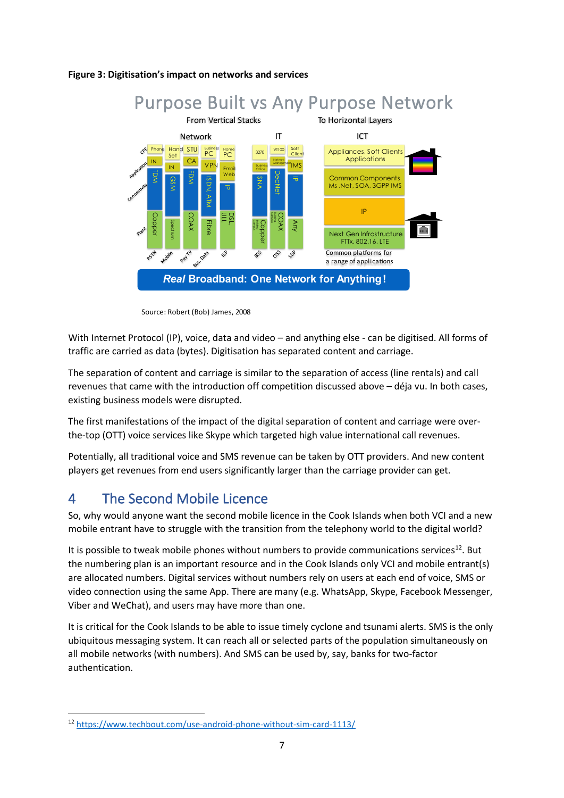#### **Figure 3: Digitisation's impact on networks and services**



Source: Robert (Bob) James, 2008

With Internet Protocol (IP), voice, data and video – and anything else - can be digitised. All forms of traffic are carried as data (bytes). Digitisation has separated content and carriage.

The separation of content and carriage is similar to the separation of access (line rentals) and call revenues that came with the introduction off competition discussed above – déja vu. In both cases, existing business models were disrupted.

The first manifestations of the impact of the digital separation of content and carriage were overthe-top (OTT) voice services like Skype which targeted high value international call revenues.

Potentially, all traditional voice and SMS revenue can be taken by OTT providers. And new content players get revenues from end users significantly larger than the carriage provider can get.

## 4 The Second Mobile Licence

So, why would anyone want the second mobile licence in the Cook Islands when both VCI and a new mobile entrant have to struggle with the transition from the telephony world to the digital world?

It is possible to tweak mobile phones without numbers to provide communications services<sup>12</sup>. But the numbering plan is an important resource and in the Cook Islands only VCI and mobile entrant(s) are allocated numbers. Digital services without numbers rely on users at each end of voice, SMS or video connection using the same App. There are many (e.g. WhatsApp, Skype, Facebook Messenger, Viber and WeChat), and users may have more than one.

It is critical for the Cook Islands to be able to issue timely cyclone and tsunami alerts. SMS is the only ubiquitous messaging system. It can reach all or selected parts of the population simultaneously on all mobile networks (with numbers). And SMS can be used by, say, banks for two-factor authentication.

<span id="page-6-0"></span><sup>12</sup> <https://www.techbout.com/use-android-phone-without-sim-card-1113/>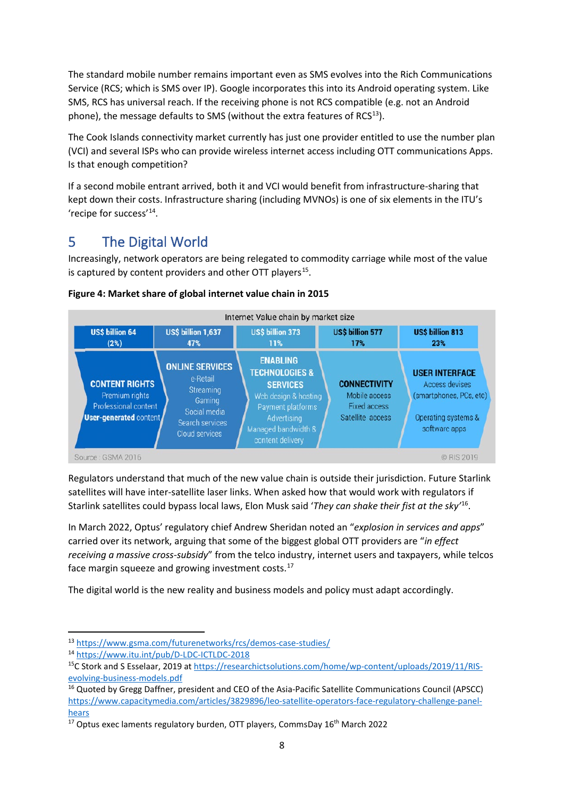The standard mobile number remains important even as SMS evolves into the Rich Communications Service (RCS; which is SMS over IP). Google incorporates this into its Android operating system. Like SMS, RCS has universal reach. If the receiving phone is not RCS compatible (e.g. not an Android phone), the message defaults to SMS (without the extra features of  $RCS<sup>13</sup>$  $RCS<sup>13</sup>$  $RCS<sup>13</sup>$ ).

The Cook Islands connectivity market currently has just one provider entitled to use the number plan (VCI) and several ISPs who can provide wireless internet access including OTT communications Apps. Is that enough competition?

If a second mobile entrant arrived, both it and VCI would benefit from infrastructure-sharing that kept down their costs. Infrastructure sharing (including MVNOs) is one of six elements in the ITU's 'recipe for success'[14](#page-7-1).

# 5 The Digital World

Increasingly, network operators are being relegated to commodity carriage while most of the value is captured by content providers and other OTT players<sup>15</sup>.



### **Figure 4: Market share of global internet value chain in 2015**

Regulators understand that much of the new value chain is outside their jurisdiction. Future Starlink satellites will have inter-satellite laser links. When asked how that would work with regulators if Starlink satellites could bypass local laws, Elon Musk said '*They can shake their fist at the sky'* [16](#page-7-3).

In March 2022, Optus' regulatory chief Andrew Sheridan noted an "*explosion in services and apps*" carried over its network, arguing that some of the biggest global OTT providers are "*in effect receiving a massive cross-subsidy*" from the telco industry, internet users and taxpayers, while telcos face margin squeeze and growing investment costs.<sup>[17](#page-7-4)</sup>

The digital world is the new reality and business models and policy must adapt accordingly.

<span id="page-7-2"></span><span id="page-7-1"></span>

<span id="page-7-0"></span><sup>&</sup>lt;sup>13</sup> https://www.gsma.com/futurenetworks/rcs/demos-case-studies/<br><sup>14</sup> https://www.itu.int/pub/D-LDC-ICTLDC-2018<br><sup>15</sup>C Stork and S Esselaar, 2019 at [https://researchictsolutions.com/home/wp-content/uploads/2019/11/RIS](https://researchictsolutions.com/home/wp-content/uploads/2019/11/RIS-evolving-business-models.pdf)[evolving-business-models.pdf](https://researchictsolutions.com/home/wp-content/uploads/2019/11/RIS-evolving-business-models.pdf)

<span id="page-7-3"></span><sup>&</sup>lt;sup>16</sup> Quoted by Gregg Daffner, president and CEO of the Asia-Pacific Satellite Communications Council (APSCC) [https://www.capacitymedia.com/articles/3829896/leo-satellite-operators-face-regulatory-challenge-panel-](https://www.capacitymedia.com/articles/3829896/leo-satellite-operators-face-regulatory-challenge-panel-hears)

<span id="page-7-4"></span>hears<br><sup>17</sup> Optus exec laments regulatory burden, OTT players, CommsDay 16<sup>th</sup> March 2022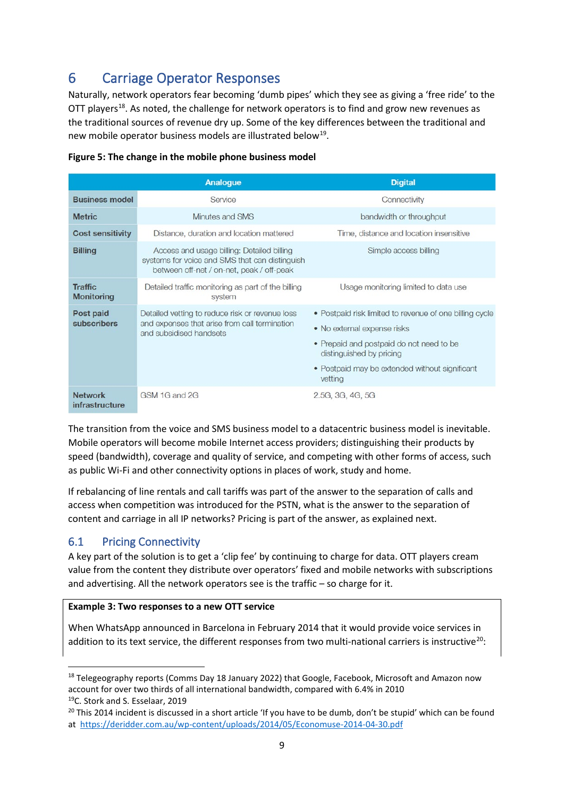# 6 Carriage Operator Responses

Naturally, network operators fear becoming 'dumb pipes' which they see as giving a 'free ride' to the OTT players<sup>[18](#page-8-0)</sup>. As noted, the challenge for network operators is to find and grow new revenues as the traditional sources of revenue dry up. Some of the key differences between the traditional and new mobile operator business models are illustrated below<sup>19</sup>.

|                                     | <b>Analogue</b>                                                                                                                           | <b>Digital</b>                                                                                                                                                                                                              |
|-------------------------------------|-------------------------------------------------------------------------------------------------------------------------------------------|-----------------------------------------------------------------------------------------------------------------------------------------------------------------------------------------------------------------------------|
| <b>Business model</b>               | Service                                                                                                                                   | Connectivity                                                                                                                                                                                                                |
| <b>Metric</b>                       | Minutes and SMS                                                                                                                           | bandwidth or throughput                                                                                                                                                                                                     |
| <b>Cost sensitivity</b>             | Distance, duration and location mattered                                                                                                  | Time, distance and location insensitive                                                                                                                                                                                     |
| <b>Billing</b>                      | Access and usage billing: Detailed billing<br>systems for voice and SMS that can distinguish<br>between off-net / on-net, peak / off-peak | Simple access billing                                                                                                                                                                                                       |
| <b>Traffic</b><br><b>Monitoring</b> | Detailed traffic monitoring as part of the billing<br>system                                                                              | Usage monitoring limited to data use                                                                                                                                                                                        |
| Post paid<br>subscribers            | Detailed vetting to reduce risk or revenue loss<br>and expenses that arise from call termination<br>and subsidised handsets               | • Postpaid risk limited to revenue of one billing cycle<br>• No external expense risks<br>• Prepaid and postpaid do not need to be<br>distinguished by pricing<br>• Postpaid may be extended without significant<br>vetting |
| <b>Network</b><br>infrastructure    | GSM 1G and 2G                                                                                                                             | 2.5G, 3G, 4G, 5G                                                                                                                                                                                                            |

#### **Figure 5: The change in the mobile phone business model**

The transition from the voice and SMS business model to a datacentric business model is inevitable. Mobile operators will become mobile Internet access providers; distinguishing their products by speed (bandwidth), coverage and quality of service, and competing with other forms of access, such as public Wi-Fi and other connectivity options in places of work, study and home.

If rebalancing of line rentals and call tariffs was part of the answer to the separation of calls and access when competition was introduced for the PSTN, what is the answer to the separation of content and carriage in all IP networks? Pricing is part of the answer, as explained next.

### 6.1 Pricing Connectivity

A key part of the solution is to get a 'clip fee' by continuing to charge for data. OTT players cream value from the content they distribute over operators' fixed and mobile networks with subscriptions and advertising. All the network operators see is the traffic – so charge for it.

### **Example 3: Two responses to a new OTT service**

When WhatsApp announced in Barcelona in February 2014 that it would provide voice services in addition to its text service, the different responses from two multi-national carriers is instructive<sup>[20](#page-8-2)</sup>:

<span id="page-8-0"></span><sup>&</sup>lt;sup>18</sup> Telegeography reports (Comms Day 18 January 2022) that Google, Facebook, Microsoft and Amazon now account for over two thirds of all international bandwidth, compared with 6.4% in 2010 <sup>19</sup>C. Stork and S. Esselaar, 2019<br><sup>20</sup> This 2014 incident is discussed in a short article 'If you have to be dumb, don't be stupid' which can be found

<span id="page-8-2"></span><span id="page-8-1"></span>at<https://deridder.com.au/wp-content/uploads/2014/05/Economuse-2014-04-30.pdf>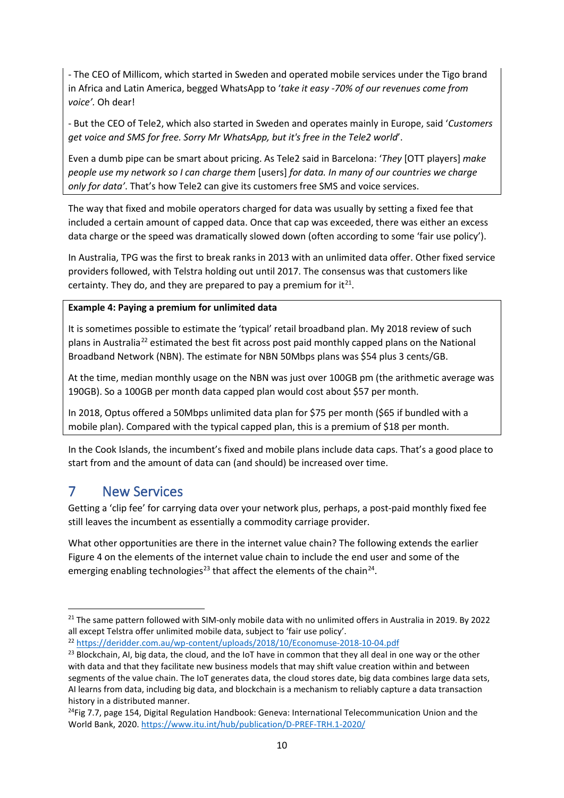- The CEO of Millicom, which started in Sweden and operated mobile services under the Tigo brand in Africa and Latin America, begged WhatsApp to '*take it easy -70% of our revenues come from voice'.* Oh dear!

- But the CEO of Tele2, which also started in Sweden and operates mainly in Europe, said '*Customers get voice and SMS for free. Sorry Mr WhatsApp, but it's free in the Tele2 world*'.

Even a dumb pipe can be smart about pricing. As Tele2 said in Barcelona: '*They* [OTT players] *make people use my network so I can charge them* [users] *for data. In many of our countries we charge only for data'*. That's how Tele2 can give its customers free SMS and voice services.

The way that fixed and mobile operators charged for data was usually by setting a fixed fee that included a certain amount of capped data. Once that cap was exceeded, there was either an excess data charge or the speed was dramatically slowed down (often according to some 'fair use policy').

In Australia, TPG was the first to break ranks in 2013 with an unlimited data offer. Other fixed service providers followed, with Telstra holding out until 2017. The consensus was that customers like certainty. They do, and they are prepared to pay a premium for it $^{21}$  $^{21}$  $^{21}$ .

### **Example 4: Paying a premium for unlimited data**

It is sometimes possible to estimate the 'typical' retail broadband plan. My 2018 review of such plans in Australia[22](#page-9-1) estimated the best fit across post paid monthly capped plans on the National Broadband Network (NBN). The estimate for NBN 50Mbps plans was \$54 plus 3 cents/GB.

At the time, median monthly usage on the NBN was just over 100GB pm (the arithmetic average was 190GB). So a 100GB per month data capped plan would cost about \$57 per month.

In 2018, Optus offered a 50Mbps unlimited data plan for \$75 per month (\$65 if bundled with a mobile plan). Compared with the typical capped plan, this is a premium of \$18 per month.

In the Cook Islands, the incumbent's fixed and mobile plans include data caps. That's a good place to start from and the amount of data can (and should) be increased over time.

### 7 New Services

Getting a 'clip fee' for carrying data over your network plus, perhaps, a post-paid monthly fixed fee still leaves the incumbent as essentially a commodity carriage provider.

What other opportunities are there in the internet value chain? The following extends the earlier Figure 4 on the elements of the internet value chain to include the end user and some of the emerging enabling technologies<sup>[23](#page-9-2)</sup> that affect the elements of the chain<sup>24</sup>.

<span id="page-9-0"></span><sup>&</sup>lt;sup>21</sup> The same pattern followed with SIM-only mobile data with no unlimited offers in Australia in 2019. By 2022 all except Telstra offer unlimited mobile data, subject to 'fair use policy'.<br><sup>22</sup> https://deridder.com.au/wp-content/uploads/2018/10/Economuse-2018-10-04.pdf

<span id="page-9-1"></span>

<span id="page-9-2"></span><sup>&</sup>lt;sup>23</sup> Blockchain, AI, big data, the cloud, and the IoT have in common that they all deal in one way or the other with data and that they facilitate new business models that may shift value creation within and between segments of the value chain. The IoT generates data, the cloud stores date, big data combines large data sets, AI learns from data, including big data, and blockchain is a mechanism to reliably capture a data transaction history in a distributed manner.

<span id="page-9-3"></span> $24$ Fig 7.7, page 154, Digital Regulation Handbook: Geneva: International Telecommunication Union and the World Bank, 2020.<https://www.itu.int/hub/publication/D-PREF-TRH.1-2020/>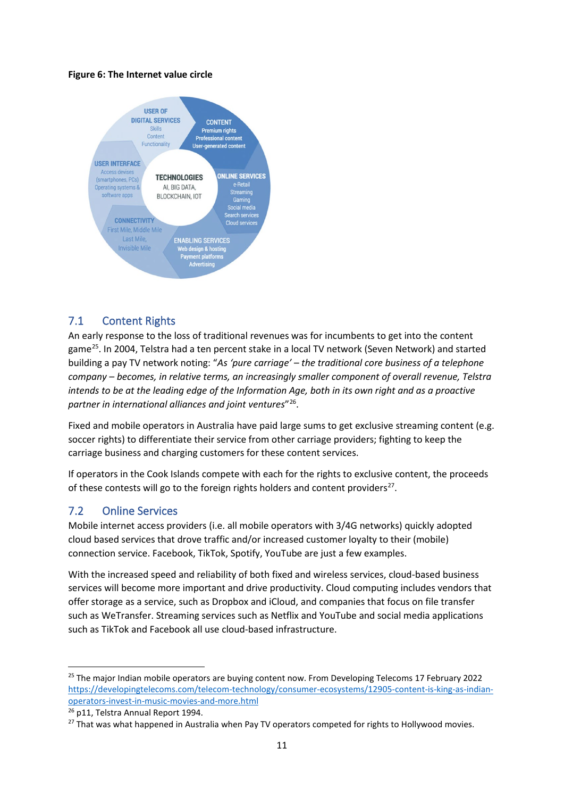#### **Figure 6: The Internet value circle**



### 7.1 Content Rights

An early response to the loss of traditional revenues was for incumbents to get into the content game<sup>[25](#page-10-0)</sup>. In 2004, Telstra had a ten percent stake in a local TV network (Seven Network) and started building a pay TV network noting: "*As 'pure carriage' – the traditional core business of a telephone company – becomes, in relative terms, an increasingly smaller component of overall revenue, Telstra intends to be at the leading edge of the Information Age, both in its own right and as a proactive partner in international alliances and joint ventures*"[26.](#page-10-1)

Fixed and mobile operators in Australia have paid large sums to get exclusive streaming content (e.g. soccer rights) to differentiate their service from other carriage providers; fighting to keep the carriage business and charging customers for these content services.

If operators in the Cook Islands compete with each for the rights to exclusive content, the proceeds of these contests will go to the foreign rights holders and content providers<sup>27</sup>.

### 7.2 Online Services

Mobile internet access providers (i.e. all mobile operators with 3/4G networks) quickly adopted cloud based services that drove traffic and/or increased customer loyalty to their (mobile) connection service. Facebook, TikTok, Spotify, YouTube are just a few examples.

With the increased speed and reliability of both fixed and wireless services, cloud-based business services will become more important and drive productivity. Cloud computing includes vendors that offer storage as a service, such as Dropbox and iCloud, and companies that focus on file transfer such as WeTransfer. Streaming services such as Netflix and YouTube and social media applications such as TikTok and Facebook all use cloud-based infrastructure.

<span id="page-10-0"></span><sup>&</sup>lt;sup>25</sup> The major Indian mobile operators are buying content now. From Developing Telecoms 17 February 2022 [https://developingtelecoms.com/telecom-technology/consumer-ecosystems/12905-content-is-king-as-indian](https://developingtelecoms.com/telecom-technology/consumer-ecosystems/12905-content-is-king-as-indian-operators-invest-in-music-movies-and-more.html)[operators-invest-in-music-movies-and-more.html](https://developingtelecoms.com/telecom-technology/consumer-ecosystems/12905-content-is-king-as-indian-operators-invest-in-music-movies-and-more.html) 26 p11, Telstra Annual Report 1994.

<span id="page-10-1"></span>

<span id="page-10-2"></span><sup>&</sup>lt;sup>27</sup> That was what happened in Australia when Pay TV operators competed for rights to Hollywood movies.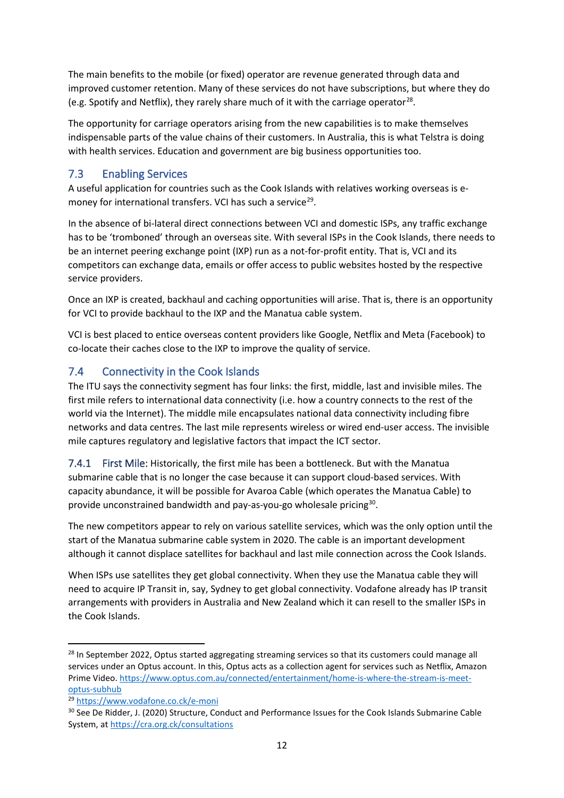The main benefits to the mobile (or fixed) operator are revenue generated through data and improved customer retention. Many of these services do not have subscriptions, but where they do (e.g. Spotify and Netflix), they rarely share much of it with the carriage operator<sup>[28](#page-11-0)</sup>.

The opportunity for carriage operators arising from the new capabilities is to make themselves indispensable parts of the value chains of their customers. In Australia, this is what Telstra is doing with health services. Education and government are big business opportunities too.

### 7.3 Enabling Services

A useful application for countries such as the Cook Islands with relatives working overseas is e-money for international transfers. VCI has such a service<sup>[29](#page-11-1)</sup>.

In the absence of bi-lateral direct connections between VCI and domestic ISPs, any traffic exchange has to be 'tromboned' through an overseas site. With several ISPs in the Cook Islands, there needs to be an internet peering exchange point (IXP) run as a not-for-profit entity. That is, VCI and its competitors can exchange data, emails or offer access to public websites hosted by the respective service providers.

Once an IXP is created, backhaul and caching opportunities will arise. That is, there is an opportunity for VCI to provide backhaul to the IXP and the Manatua cable system.

VCI is best placed to entice overseas content providers like Google, Netflix and Meta (Facebook) to co-locate their caches close to the IXP to improve the quality of service.

### 7.4 Connectivity in the Cook Islands

The ITU says the connectivity segment has four links: the first, middle, last and invisible miles. The first mile refers to international data connectivity (i.e. how a country connects to the rest of the world via the Internet). The middle mile encapsulates national data connectivity including fibre networks and data centres. The last mile represents wireless or wired end-user access. The invisible mile captures regulatory and legislative factors that impact the ICT sector.

7.4.1 First Mile: Historically, the first mile has been a bottleneck. But with the Manatua submarine cable that is no longer the case because it can support cloud-based services. With capacity abundance, it will be possible for Avaroa Cable (which operates the Manatua Cable) to provide unconstrained bandwidth and pay-as-you-go wholesale pricing<sup>[30](#page-11-2)</sup>.

The new competitors appear to rely on various satellite services, which was the only option until the start of the Manatua submarine cable system in 2020. The cable is an important development although it cannot displace satellites for backhaul and last mile connection across the Cook Islands.

When ISPs use satellites they get global connectivity. When they use the Manatua cable they will need to acquire IP Transit in, say, Sydney to get global connectivity. Vodafone already has IP transit arrangements with providers in Australia and New Zealand which it can resell to the smaller ISPs in the Cook Islands.

<span id="page-11-0"></span><sup>&</sup>lt;sup>28</sup> In September 2022, Optus started aggregating streaming services so that its customers could manage all services under an Optus account. In this, Optus acts as a collection agent for services such as Netflix, Amazon Prime Video[. https://www.optus.com.au/connected/entertainment/home-is-where-the-stream-is-meet-](https://www.optus.com.au/connected/entertainment/home-is-where-the-stream-is-meet-optus-subhub)

<span id="page-11-2"></span>

<span id="page-11-1"></span>optus-subhub<br><sup>29</sup> https://www.vodafone.co.ck/e-moni<br><sup>30</sup> See De Ridder, J. (2020) Structure, Conduct and Performance Issues for the Cook Islands Submarine Cable System, a[t https://cra.org.ck/consultations](https://cra.org.ck/consultations)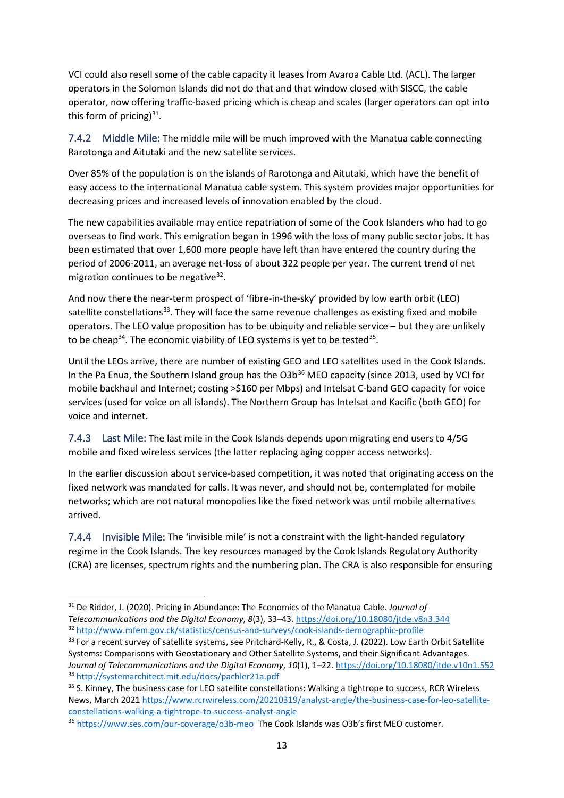VCI could also resell some of the cable capacity it leases from Avaroa Cable Ltd. (ACL). The larger operators in the Solomon Islands did not do that and that window closed with SISCC, the cable operator, now offering traffic-based pricing which is cheap and scales (larger operators can opt into this form of pricing) $31$ .

7.4.2 Middle Mile: The middle mile will be much improved with the Manatua cable connecting Rarotonga and Aitutaki and the new satellite services.

Over 85% of the population is on the islands of Rarotonga and Aitutaki, which have the benefit of easy access to the international Manatua cable system. This system provides major opportunities for decreasing prices and increased levels of innovation enabled by the cloud.

The new capabilities available may entice repatriation of some of the Cook Islanders who had to go overseas to find work. This emigration began in 1996 with the loss of many public sector jobs. It has been estimated that over 1,600 more people have left than have entered the country during the period of 2006-2011, an average net-loss of about 322 people per year. The current trend of net migration continues to be negative  $32$ .

And now there the near-term prospect of 'fibre-in-the-sky' provided by low earth orbit (LEO) satellite constellations $33$ . They will face the same revenue challenges as existing fixed and mobile operators. The LEO value proposition has to be ubiquity and reliable service – but they are unlikely to be cheap<sup>[34](#page-12-3)</sup>. The economic viability of LEO systems is yet to be tested<sup>35</sup>.

Until the LEOs arrive, there are number of existing GEO and LEO satellites used in the Cook Islands. In the Pa Enua, the Southern Island group has the  $O3b^{36}$  $O3b^{36}$  $O3b^{36}$  MEO capacity (since 2013, used by VCI for mobile backhaul and Internet; costing >\$160 per Mbps) and Intelsat C-band GEO capacity for voice services (used for voice on all islands). The Northern Group has Intelsat and Kacific (both GEO) for voice and internet.

7.4.3 Last Mile: The last mile in the Cook Islands depends upon migrating end users to 4/5G mobile and fixed wireless services (the latter replacing aging copper access networks).

In the earlier discussion about service-based competition, it was noted that originating access on the fixed network was mandated for calls. It was never, and should not be, contemplated for mobile networks; which are not natural monopolies like the fixed network was until mobile alternatives arrived.

7.4.4 Invisible Mile: The 'invisible mile' is not a constraint with the light-handed regulatory regime in the Cook Islands. The key resources managed by the Cook Islands Regulatory Authority (CRA) are licenses, spectrum rights and the numbering plan. The CRA is also responsible for ensuring

<span id="page-12-0"></span><sup>31</sup> De Ridder, J. (2020). Pricing in Abundance: The Economics of the Manatua Cable. *Journal of*  Telecommunications and the Digital Economy, 8(3), 33–43. https://doi.org/10.18080/jtde.v8n3.344<br><sup>32</sup> http://www.mfem.gov.ck/statistics/census-and-surveys/cook-islands-demographic-profile<br><sup>33</sup> For a recent survey of satelli

<span id="page-12-1"></span>

<span id="page-12-2"></span>Systems: Comparisons with Geostationary and Other Satellite Systems, and their Significant Advantages. Journal of Telecommunications and the Digital Economy, 10(1), 1–22. https://doi.org/10.18080/jtde.v10n1.552<br><sup>34</sup> http://systemarchitect.mit.edu/docs/pachler21a.pdf<br><sup>35</sup> S. Kinney, The business case for LEO satellite conste

<span id="page-12-4"></span><span id="page-12-3"></span>News, March 2021 https://www.rcrwireless.com/20210319/analyst-angle/the-business-case-for-leo-satellite-<br>constellations-walking-a-tightrope-to-success-analyst-angle

<span id="page-12-5"></span><sup>&</sup>lt;sup>36</sup> <https://www.ses.com/our-coverage/o3b-meo>The Cook Islands was O3b's first MEO customer.